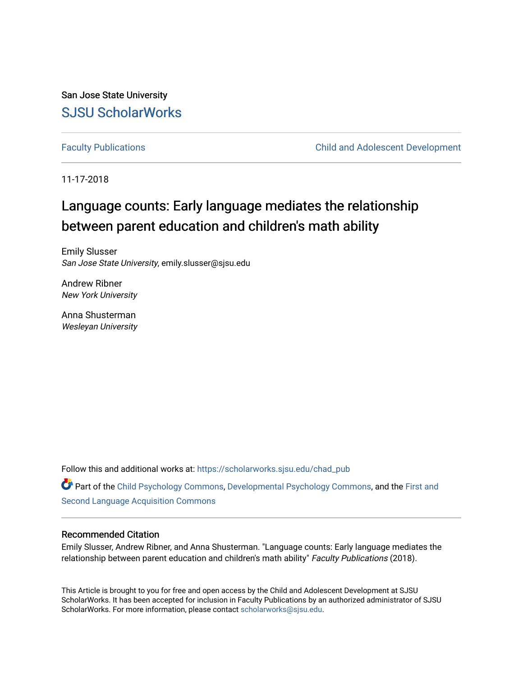San Jose State University [SJSU ScholarWorks](https://scholarworks.sjsu.edu/) 

[Faculty Publications](https://scholarworks.sjsu.edu/chad_pub) [Child and Adolescent Development](https://scholarworks.sjsu.edu/chad) 

11-17-2018

# Language counts: Early language mediates the relationship between parent education and children's math ability

Emily Slusser San Jose State University, emily.slusser@sjsu.edu

Andrew Ribner New York University

Anna Shusterman Wesleyan University

Follow this and additional works at: [https://scholarworks.sjsu.edu/chad\\_pub](https://scholarworks.sjsu.edu/chad_pub?utm_source=scholarworks.sjsu.edu%2Fchad_pub%2F25&utm_medium=PDF&utm_campaign=PDFCoverPages)

Part of the [Child Psychology Commons,](http://network.bepress.com/hgg/discipline/1023?utm_source=scholarworks.sjsu.edu%2Fchad_pub%2F25&utm_medium=PDF&utm_campaign=PDFCoverPages) [Developmental Psychology Commons,](http://network.bepress.com/hgg/discipline/410?utm_source=scholarworks.sjsu.edu%2Fchad_pub%2F25&utm_medium=PDF&utm_campaign=PDFCoverPages) and the [First and](http://network.bepress.com/hgg/discipline/377?utm_source=scholarworks.sjsu.edu%2Fchad_pub%2F25&utm_medium=PDF&utm_campaign=PDFCoverPages)  [Second Language Acquisition Commons](http://network.bepress.com/hgg/discipline/377?utm_source=scholarworks.sjsu.edu%2Fchad_pub%2F25&utm_medium=PDF&utm_campaign=PDFCoverPages) 

#### Recommended Citation

Emily Slusser, Andrew Ribner, and Anna Shusterman. "Language counts: Early language mediates the relationship between parent education and children's math ability" Faculty Publications (2018).

This Article is brought to you for free and open access by the Child and Adolescent Development at SJSU ScholarWorks. It has been accepted for inclusion in Faculty Publications by an authorized administrator of SJSU ScholarWorks. For more information, please contact [scholarworks@sjsu.edu](mailto:scholarworks@sjsu.edu).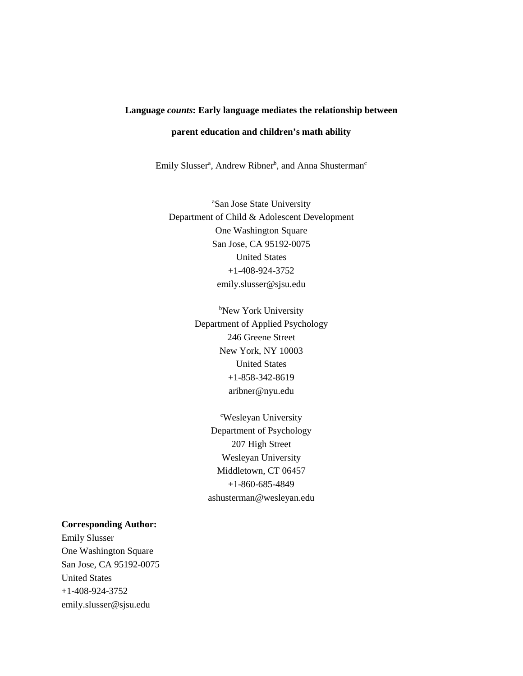#### **Language** *counts***: Early language mediates the relationship between**

### **parent education and children's math ability**

Emily Slusser<sup>a</sup>, Andrew Ribner<sup>b</sup>, and Anna Shusterman<sup>c</sup>

a San Jose State University Department of Child & Adolescent Development One Washington Square San Jose, CA 95192-0075 United States +1-408-924-3752 emily.slusser@sjsu.edu

> b New York University Department of Applied Psychology 246 Greene Street New York, NY 10003 United States +1-858-342-8619 aribner@nyu.edu

> > c Wesleyan University Department of Psychology 207 High Street Wesleyan University Middletown, CT 06457 +1-860-685-4849 ashusterman@wesleyan.edu

#### **Corresponding Author:**

Emily Slusser One Washington Square San Jose, CA 95192-0075 United States +1-408-924-3752 emily.slusser@sjsu.edu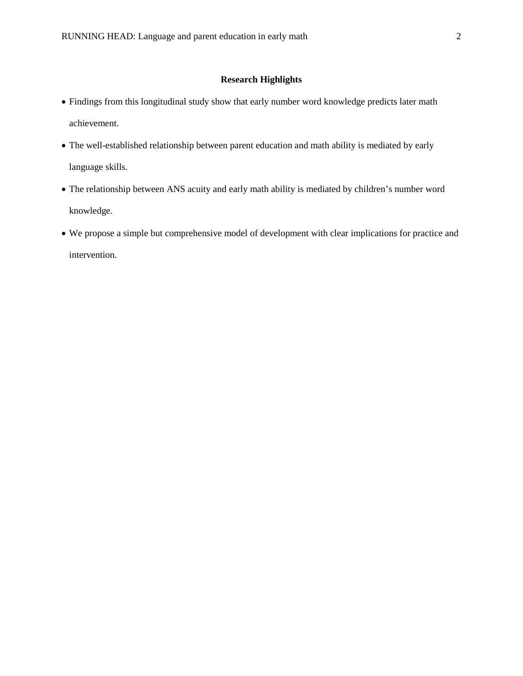#### **Research Highlights**

- Findings from this longitudinal study show that early number word knowledge predicts later math achievement.
- The well-established relationship between parent education and math ability is mediated by early language skills.
- The relationship between ANS acuity and early math ability is mediated by children's number word knowledge.
- We propose a simple but comprehensive model of development with clear implications for practice and intervention.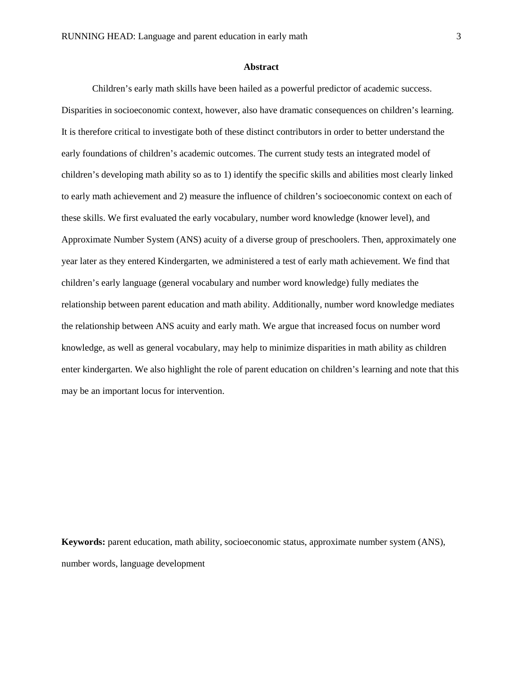#### **Abstract**

Children's early math skills have been hailed as a powerful predictor of academic success. Disparities in socioeconomic context, however, also have dramatic consequences on children's learning. It is therefore critical to investigate both of these distinct contributors in order to better understand the early foundations of children's academic outcomes. The current study tests an integrated model of children's developing math ability so as to 1) identify the specific skills and abilities most clearly linked to early math achievement and 2) measure the influence of children's socioeconomic context on each of these skills. We first evaluated the early vocabulary, number word knowledge (knower level), and Approximate Number System (ANS) acuity of a diverse group of preschoolers. Then, approximately one year later as they entered Kindergarten, we administered a test of early math achievement. We find that children's early language (general vocabulary and number word knowledge) fully mediates the relationship between parent education and math ability. Additionally, number word knowledge mediates the relationship between ANS acuity and early math. We argue that increased focus on number word knowledge, as well as general vocabulary, may help to minimize disparities in math ability as children enter kindergarten. We also highlight the role of parent education on children's learning and note that this may be an important locus for intervention.

**Keywords:** parent education, math ability, socioeconomic status, approximate number system (ANS), number words, language development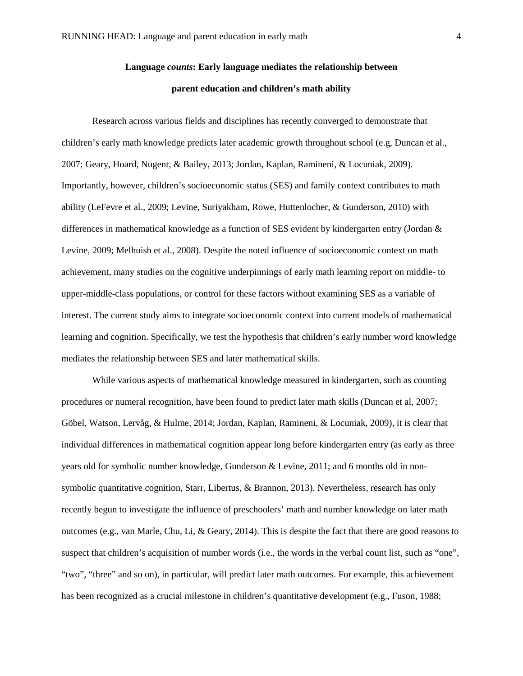## **Language** *counts***: Early language mediates the relationship between parent education and children's math ability**

Research across various fields and disciplines has recently converged to demonstrate that children's early math knowledge predicts later academic growth throughout school (e.g, Duncan et al., 2007; Geary, Hoard, Nugent, & Bailey, 2013; Jordan, Kaplan, Ramineni, & Locuniak, 2009). Importantly, however, children's socioeconomic status (SES) and family context contributes to math ability (LeFevre et al., 2009; Levine, Suriyakham, Rowe, Huttenlocher, & Gunderson, 2010) with differences in mathematical knowledge as a function of SES evident by kindergarten entry (Jordan & Levine, 2009; Melhuish et al., 2008). Despite the noted influence of socioeconomic context on math achievement, many studies on the cognitive underpinnings of early math learning report on middle- to upper-middle-class populations, or control for these factors without examining SES as a variable of interest. The current study aims to integrate socioeconomic context into current models of mathematical learning and cognition. Specifically, we test the hypothesis that children's early number word knowledge mediates the relationship between SES and later mathematical skills.

While various aspects of mathematical knowledge measured in kindergarten, such as counting procedures or numeral recognition, have been found to predict later math skills (Duncan et al, 2007; Göbel, Watson, Lervåg, & Hulme, 2014; Jordan, Kaplan, Ramineni, & Locuniak, 2009), it is clear that individual differences in mathematical cognition appear long before kindergarten entry (as early as three years old for symbolic number knowledge, Gunderson & Levine, 2011; and 6 months old in nonsymbolic quantitative cognition, Starr, Libertus, & Brannon, 2013). Nevertheless, research has only recently begun to investigate the influence of preschoolers' math and number knowledge on later math outcomes (e.g., van Marle, Chu, Li, & Geary, 2014). This is despite the fact that there are good reasons to suspect that children's acquisition of number words (i.e., the words in the verbal count list, such as "one", "two", "three" and so on), in particular, will predict later math outcomes. For example, this achievement has been recognized as a crucial milestone in children's quantitative development (e.g., Fuson, 1988;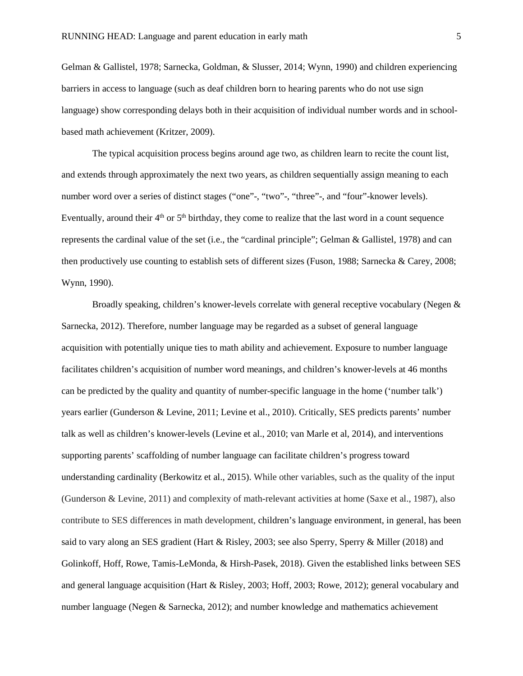Gelman & Gallistel, 1978; Sarnecka, Goldman, & Slusser, 2014; Wynn, 1990) and children experiencing barriers in access to language (such as deaf children born to hearing parents who do not use sign language) show corresponding delays both in their acquisition of individual number words and in schoolbased math achievement (Kritzer, 2009).

The typical acquisition process begins around age two, as children learn to recite the count list, and extends through approximately the next two years, as children sequentially assign meaning to each number word over a series of distinct stages ("one"-, "two"-, "three"-, and "four"-knower levels). Eventually, around their  $4<sup>th</sup>$  or  $5<sup>th</sup>$  birthday, they come to realize that the last word in a count sequence represents the cardinal value of the set (i.e., the "cardinal principle"; Gelman & Gallistel, 1978) and can then productively use counting to establish sets of different sizes (Fuson, 1988; Sarnecka & Carey, 2008; Wynn, 1990).

Broadly speaking, children's knower-levels correlate with general receptive vocabulary (Negen & Sarnecka, 2012). Therefore, number language may be regarded as a subset of general language acquisition with potentially unique ties to math ability and achievement. Exposure to number language facilitates children's acquisition of number word meanings, and children's knower-levels at 46 months can be predicted by the quality and quantity of number-specific language in the home ('number talk') years earlier (Gunderson & Levine, 2011; Levine et al., 2010). Critically, SES predicts parents' number talk as well as children's knower-levels (Levine et al., 2010; van Marle et al, 2014), and interventions supporting parents' scaffolding of number language can facilitate children's progress toward understanding cardinality (Berkowitz et al., 2015). While other variables, such as the quality of the input (Gunderson & Levine, 2011) and complexity of math-relevant activities at home (Saxe et al., 1987), also contribute to SES differences in math development, children's language environment, in general, has been said to vary along an SES gradient (Hart & Risley, 2003; see also Sperry, Sperry & Miller (2018) and Golinkoff, Hoff, Rowe, Tamis-LeMonda, & Hirsh-Pasek, 2018). Given the established links between SES and general language acquisition (Hart & Risley, 2003; Hoff, 2003; Rowe, 2012); general vocabulary and number language (Negen & Sarnecka, 2012); and number knowledge and mathematics achievement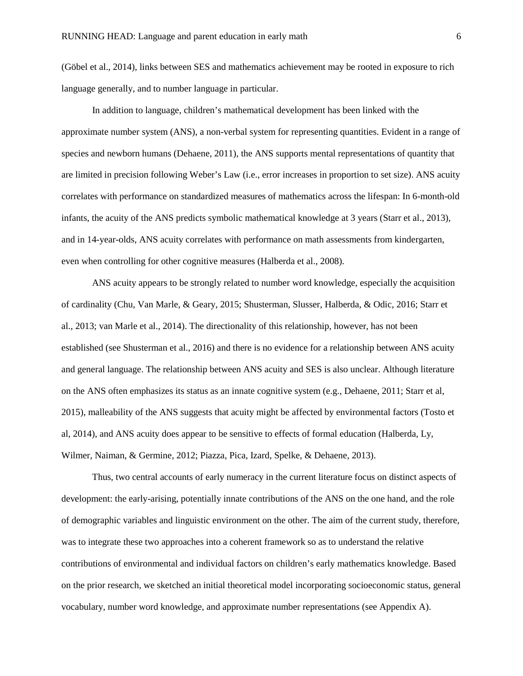(Göbel et al., 2014), links between SES and mathematics achievement may be rooted in exposure to rich language generally, and to number language in particular.

In addition to language, children's mathematical development has been linked with the approximate number system (ANS), a non-verbal system for representing quantities. Evident in a range of species and newborn humans (Dehaene, 2011), the ANS supports mental representations of quantity that are limited in precision following Weber's Law (i.e., error increases in proportion to set size). ANS acuity correlates with performance on standardized measures of mathematics across the lifespan: In 6-month-old infants, the acuity of the ANS predicts symbolic mathematical knowledge at 3 years (Starr et al., 2013), and in 14-year-olds, ANS acuity correlates with performance on math assessments from kindergarten, even when controlling for other cognitive measures (Halberda et al., 2008).

ANS acuity appears to be strongly related to number word knowledge, especially the acquisition of cardinality (Chu, Van Marle, & Geary, 2015; Shusterman, Slusser, Halberda, & Odic, 2016; Starr et al., 2013; van Marle et al., 2014). The directionality of this relationship, however, has not been established (see Shusterman et al., 2016) and there is no evidence for a relationship between ANS acuity and general language. The relationship between ANS acuity and SES is also unclear. Although literature on the ANS often emphasizes its status as an innate cognitive system (e.g., Dehaene, 2011; Starr et al, 2015), malleability of the ANS suggests that acuity might be affected by environmental factors (Tosto et al, 2014), and ANS acuity does appear to be sensitive to effects of formal education (Halberda, Ly, Wilmer, Naiman, & Germine, 2012; Piazza, Pica, Izard, Spelke, & Dehaene, 2013).

Thus, two central accounts of early numeracy in the current literature focus on distinct aspects of development: the early-arising, potentially innate contributions of the ANS on the one hand, and the role of demographic variables and linguistic environment on the other. The aim of the current study, therefore, was to integrate these two approaches into a coherent framework so as to understand the relative contributions of environmental and individual factors on children's early mathematics knowledge. Based on the prior research, we sketched an initial theoretical model incorporating socioeconomic status, general vocabulary, number word knowledge, and approximate number representations (see Appendix A).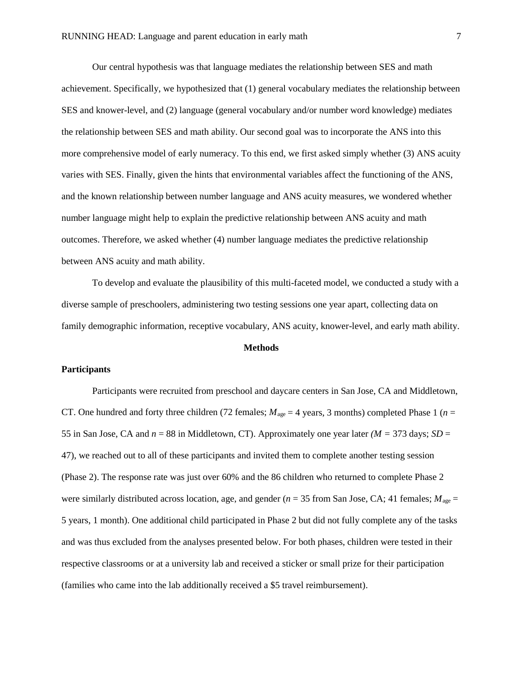Our central hypothesis was that language mediates the relationship between SES and math achievement. Specifically, we hypothesized that (1) general vocabulary mediates the relationship between SES and knower-level, and (2) language (general vocabulary and/or number word knowledge) mediates the relationship between SES and math ability. Our second goal was to incorporate the ANS into this more comprehensive model of early numeracy. To this end, we first asked simply whether (3) ANS acuity varies with SES. Finally, given the hints that environmental variables affect the functioning of the ANS, and the known relationship between number language and ANS acuity measures, we wondered whether number language might help to explain the predictive relationship between ANS acuity and math outcomes. Therefore, we asked whether (4) number language mediates the predictive relationship between ANS acuity and math ability.

To develop and evaluate the plausibility of this multi-faceted model, we conducted a study with a diverse sample of preschoolers, administering two testing sessions one year apart, collecting data on family demographic information, receptive vocabulary, ANS acuity, knower-level, and early math ability.

#### **Methods**

#### **Participants**

Participants were recruited from preschool and daycare centers in San Jose, CA and Middletown, CT. One hundred and forty three children (72 females;  $M_{\text{age}} = 4$  years, 3 months) completed Phase 1 ( $n =$ 55 in San Jose, CA and  $n = 88$  in Middletown, CT). Approximately one year later *(M = 373 days; SD =*  $\frac{1}{2}$ 47), we reached out to all of these participants and invited them to complete another testing session (Phase 2). The response rate was just over 60% and the 86 children who returned to complete Phase 2 were similarly distributed across location, age, and gender (*n* = 35 from San Jose, CA; 41 females;  $M_{\text{age}} =$ 5 years, 1 month). One additional child participated in Phase 2 but did not fully complete any of the tasks and was thus excluded from the analyses presented below. For both phases, children were tested in their respective classrooms or at a university lab and received a sticker or small prize for their participation (families who came into the lab additionally received a \$5 travel reimbursement).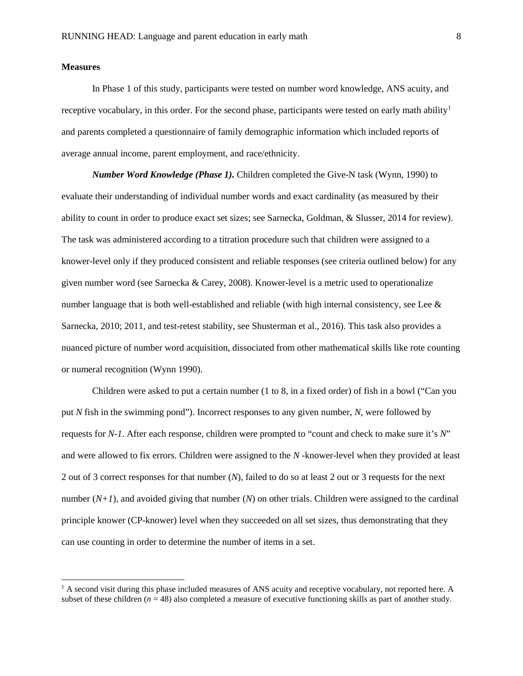#### **Measures**

 $\overline{a}$ 

In Phase 1 of this study, participants were tested on number word knowledge, ANS acuity, and receptive vocabulary, in this order. For the second phase, participants were tested on early math ability<sup>[1](#page-8-0)</sup> and parents completed a questionnaire of family demographic information which included reports of average annual income, parent employment, and race/ethnicity.

*Number Word Knowledge (Phase 1).* Children completed the Give-N task (Wynn, 1990) to evaluate their understanding of individual number words and exact cardinality (as measured by their ability to count in order to produce exact set sizes; see Sarnecka, Goldman, & Slusser, 2014 for review). The task was administered according to a titration procedure such that children were assigned to a knower-level only if they produced consistent and reliable responses (see criteria outlined below) for any given number word (see Sarnecka & Carey, 2008). Knower-level is a metric used to operationalize number language that is both well-established and reliable (with high internal consistency, see Lee & Sarnecka, 2010; 2011, and test-retest stability, see Shusterman et al., 2016). This task also provides a nuanced picture of number word acquisition, dissociated from other mathematical skills like rote counting or numeral recognition (Wynn 1990).

Children were asked to put a certain number (1 to 8, in a fixed order) of fish in a bowl ("Can you put *N* fish in the swimming pond"). Incorrect responses to any given number, *N,* were followed by requests for *N-1*. After each response, children were prompted to "count and check to make sure it's *N*" and were allowed to fix errors. Children were assigned to the *N -*knower-level when they provided at least 2 out of 3 correct responses for that number (*N*), failed to do so at least 2 out or 3 requests for the next number  $(N+1)$ , and avoided giving that number  $(N)$  on other trials. Children were assigned to the cardinal principle knower (CP-knower) level when they succeeded on all set sizes, thus demonstrating that they can use counting in order to determine the number of items in a set.

<span id="page-8-0"></span> $<sup>1</sup>$  A second visit during this phase included measures of ANS acuity and receptive vocabulary, not reported here. A</sup> subset of these children  $(n = 48)$  also completed a measure of executive functioning skills as part of another study.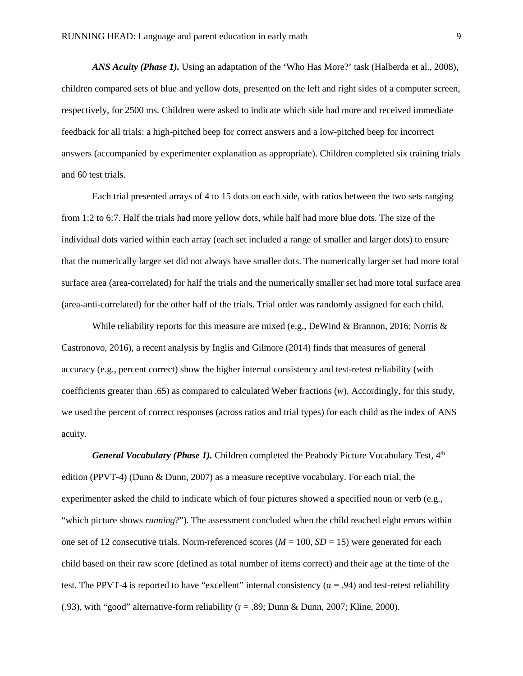*ANS Acuity (Phase 1).* Using an adaptation of the 'Who Has More?' task (Halberda et al., 2008), children compared sets of blue and yellow dots, presented on the left and right sides of a computer screen, respectively, for 2500 ms. Children were asked to indicate which side had more and received immediate feedback for all trials: a high-pitched beep for correct answers and a low-pitched beep for incorrect answers (accompanied by experimenter explanation as appropriate). Children completed six training trials and 60 test trials.

Each trial presented arrays of 4 to 15 dots on each side, with ratios between the two sets ranging from 1:2 to 6:7. Half the trials had more yellow dots, while half had more blue dots. The size of the individual dots varied within each array (each set included a range of smaller and larger dots) to ensure that the numerically larger set did not always have smaller dots. The numerically larger set had more total surface area (area-correlated) for half the trials and the numerically smaller set had more total surface area (area-anti-correlated) for the other half of the trials. Trial order was randomly assigned for each child.

While reliability reports for this measure are mixed (e.g., DeWind & Brannon, 2016; Norris & Castronovo, 2016), a recent analysis by Inglis and Gilmore (2014) finds that measures of general accuracy (e.g., percent correct) show the higher internal consistency and test-retest reliability (with coefficients greater than .65) as compared to calculated Weber fractions (*w*). Accordingly, for this study, we used the percent of correct responses (across ratios and trial types) for each child as the index of ANS acuity.

*General Vocabulary (Phase 1).* Children completed the Peabody Picture Vocabulary Test, 4<sup>th</sup> edition (PPVT-4) (Dunn & Dunn, 2007) as a measure receptive vocabulary. For each trial, the experimenter asked the child to indicate which of four pictures showed a specified noun or verb (e.g., "which picture shows *running*?"). The assessment concluded when the child reached eight errors within one set of 12 consecutive trials. Norm-referenced scores ( $M = 100$ ,  $SD = 15$ ) were generated for each child based on their raw score (defined as total number of items correct) and their age at the time of the test. The PPVT-4 is reported to have "excellent" internal consistency ( $\alpha$  = .94) and test-retest reliability (.93), with "good" alternative-form reliability ( $r = .89$ ; Dunn & Dunn, 2007; Kline, 2000).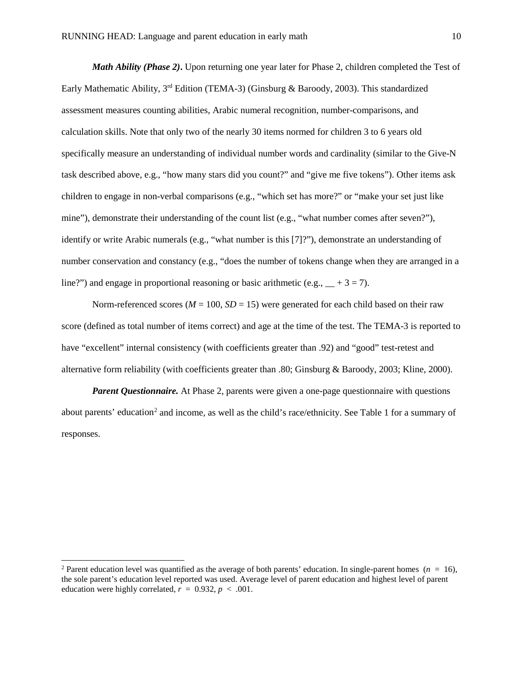*Math Ability (Phase 2)***.** Upon returning one year later for Phase 2, children completed the Test of Early Mathematic Ability, 3rd Edition (TEMA-3) (Ginsburg & Baroody, 2003). This standardized assessment measures counting abilities, Arabic numeral recognition, number-comparisons, and calculation skills. Note that only two of the nearly 30 items normed for children 3 to 6 years old specifically measure an understanding of individual number words and cardinality (similar to the Give-N task described above, e.g., "how many stars did you count?" and "give me five tokens"). Other items ask children to engage in non-verbal comparisons (e.g., "which set has more?" or "make your set just like mine"), demonstrate their understanding of the count list (e.g., "what number comes after seven?"), identify or write Arabic numerals (e.g., "what number is this [7]?"), demonstrate an understanding of number conservation and constancy (e.g., "does the number of tokens change when they are arranged in a line?") and engage in proportional reasoning or basic arithmetic (e.g.,  $+3 = 7$ ).

Norm-referenced scores ( $M = 100$ ,  $SD = 15$ ) were generated for each child based on their raw score (defined as total number of items correct) and age at the time of the test. The TEMA-3 is reported to have "excellent" internal consistency (with coefficients greater than .92) and "good" test-retest and alternative form reliability (with coefficients greater than .80; Ginsburg & Baroody, 2003; Kline, 2000).

*Parent Questionnaire.* At Phase 2, parents were given a one-page questionnaire with questions about parents' education<sup>[2](#page-10-0)</sup> and income, as well as the child's race/ethnicity. See Table 1 for a summary of responses.

 $\overline{a}$ 

<span id="page-10-0"></span><sup>&</sup>lt;sup>2</sup> Parent education level was quantified as the average of both parents' education. In single-parent homes ( $n = 16$ ), the sole parent's education level reported was used. Average level of parent education and highest level of parent education were highly correlated,  $r = 0.932$ ,  $p < .001$ .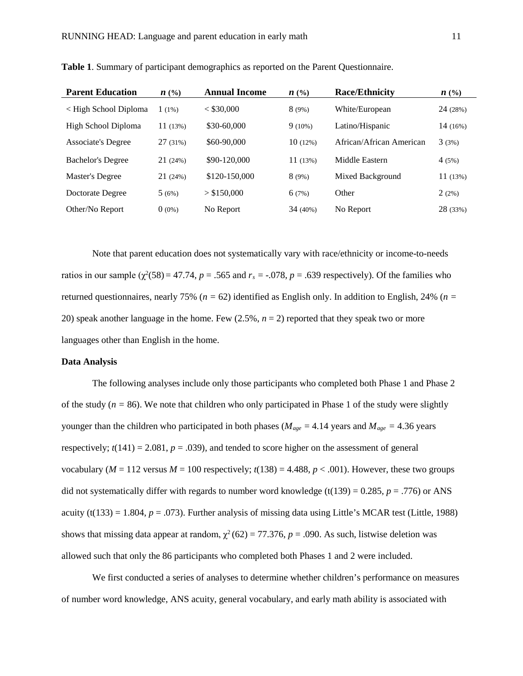| <b>Parent Education</b>  | $n \ (\%)$ | <b>Annual Income</b> | $n \ (\%)$ | <b>Race/Ethnicity</b>    | $n \ (\%)$ |
|--------------------------|------------|----------------------|------------|--------------------------|------------|
| < High School Diploma    | $1(1\%)$   | $<$ \$30,000         | 8(9%)      | White/European           | 24 (28%)   |
| High School Diploma      | 11(13%)    | \$30-60,000          | $9(10\%)$  | Latino/Hispanic          | $14(16\%)$ |
| Associate's Degree       | 27(31%)    | \$60-90,000          | 10(12%)    | African/African American | 3(3%)      |
| <b>Bachelor's Degree</b> | 21 (24%)   | \$90-120,000         | 11(13%)    | Middle Eastern           | 4(5%)      |
| Master's Degree          | 21(24%)    | \$120-150,000        | 8(9%)      | Mixed Background         | 11(13%)    |
| Doctorate Degree         | 5(6%)      | > \$150,000          | 6(7%)      | Other                    | 2(2%)      |
| Other/No Report          | $0(0\%)$   | No Report            | $34(40\%)$ | No Report                | 28 (33%)   |

**Table 1**. Summary of participant demographics as reported on the Parent Questionnaire.

Note that parent education does not systematically vary with race/ethnicity or income-to-needs ratios in our sample  $(\chi^2(58) = 47.74, p = .565$  and  $r_s = -.078, p = .639$  respectively). Of the families who returned questionnaires, nearly 75% (*n =* 62) identified as English only. In addition to English, 24% (*n =* 20) speak another language in the home. Few (2.5%, *n* = 2) reported that they speak two or more languages other than English in the home.

#### **Data Analysis**

The following analyses include only those participants who completed both Phase 1 and Phase 2 of the study  $(n = 86)$ . We note that children who only participated in Phase 1 of the study were slightly younger than the children who participated in both phases ( $M_{age} = 4.14$  years and  $M_{age} = 4.36$  years respectively;  $t(141) = 2.081$ ,  $p = .039$ ), and tended to score higher on the assessment of general vocabulary ( $M = 112$  versus  $M = 100$  respectively;  $t(138) = 4.488$ ,  $p < .001$ ). However, these two groups did not systematically differ with regards to number word knowledge (t(139) =  $0.285$ ,  $p = .776$ ) or ANS acuity (t(133) = 1.804,  $p = .073$ ). Further analysis of missing data using Little's MCAR test (Little, 1988) shows that missing data appear at random,  $\chi^2$  (62) = 77.376, *p* = .090. As such, listwise deletion was allowed such that only the 86 participants who completed both Phases 1 and 2 were included.

We first conducted a series of analyses to determine whether children's performance on measures of number word knowledge, ANS acuity, general vocabulary, and early math ability is associated with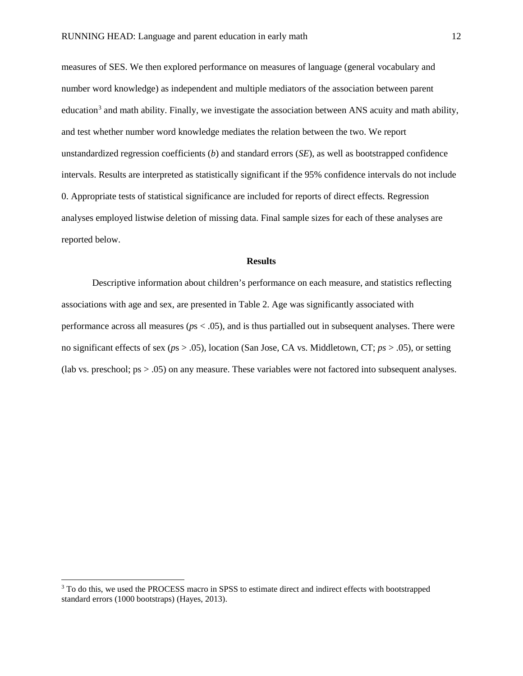measures of SES. We then explored performance on measures of language (general vocabulary and number word knowledge) as independent and multiple mediators of the association between parent education $3$  and math ability. Finally, we investigate the association between ANS acuity and math ability, and test whether number word knowledge mediates the relation between the two. We report unstandardized regression coefficients (*b*) and standard errors (*SE*), as well as bootstrapped confidence intervals. Results are interpreted as statistically significant if the 95% confidence intervals do not include 0. Appropriate tests of statistical significance are included for reports of direct effects. Regression analyses employed listwise deletion of missing data. Final sample sizes for each of these analyses are reported below.

#### **Results**

Descriptive information about children's performance on each measure, and statistics reflecting associations with age and sex, are presented in Table 2. Age was significantly associated with performance across all measures (*p*s < .05), and is thus partialled out in subsequent analyses. There were no significant effects of sex (*p*s > .05), location (San Jose, CA vs. Middletown, CT; *ps* > .05), or setting (lab vs. preschool; ps > .05) on any measure. These variables were not factored into subsequent analyses.

 $\overline{a}$ 

<span id="page-12-0"></span><sup>&</sup>lt;sup>3</sup> To do this, we used the PROCESS macro in SPSS to estimate direct and indirect effects with bootstrapped standard errors (1000 bootstraps) (Hayes, 2013).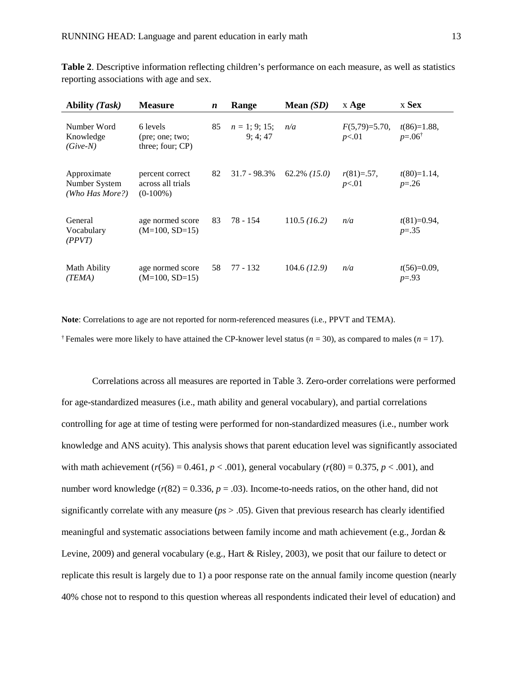**Table 2**. Descriptive information reflecting children's performance on each measure, as well as statistics reporting associations with age and sex.

| <b>Ability (Task)</b>                           | <b>Measure</b>                                      | $\boldsymbol{n}$ | Range                        | Mean $(SD)$     | $x \text{Age}$            | x Sex                                  |
|-------------------------------------------------|-----------------------------------------------------|------------------|------------------------------|-----------------|---------------------------|----------------------------------------|
| Number Word<br>Knowledge<br>$(Give-N)$          | 6 levels<br>(pre; one; two;<br>three; four; $CP$ )  | 85               | $n = 1$ ; 9; 15;<br>9; 4; 47 | n/a             | $F(5,79)=5.70$ ,<br>p<.01 | $t(86)=1.88$ ,<br>$p = 0.06^{\dagger}$ |
| Approximate<br>Number System<br>(Who Has More?) | percent correct<br>across all trials<br>$(0-100\%)$ | 82               | $31.7 - 98.3\%$              | $62.2\%$ (15.0) | $r(81)=57$ ,<br>p<.01     | $t(80)=1.14$ ,<br>$p = 0.26$           |
| General<br>Vocabulary<br>(PPVT)                 | age normed score<br>$(M=100, SD=15)$                | 83               | 78 - 154                     | 110.5 (16.2)    | n/a                       | $t(81)=0.94$ ,<br>$p=.35$              |
| Math Ability<br>(TEMA)                          | age normed score<br>$(M=100, SD=15)$                | 58               | 77 - 132                     | 104.6(12.9)     | n/a                       | $t(56)=0.09$ ,<br>$p=.93$              |

**Note**: Correlations to age are not reported for norm-referenced measures (i.e., PPVT and TEMA). <sup> $\dagger$ </sup> Females were more likely to have attained the CP-knower level status ( $n = 30$ ), as compared to males ( $n = 17$ ).

Correlations across all measures are reported in Table 3. Zero-order correlations were performed for age-standardized measures (i.e., math ability and general vocabulary), and partial correlations controlling for age at time of testing were performed for non-standardized measures (i.e., number work knowledge and ANS acuity). This analysis shows that parent education level was significantly associated with math achievement ( $r(56) = 0.461$ ,  $p < .001$ ), general vocabulary ( $r(80) = 0.375$ ,  $p < .001$ ), and number word knowledge  $(r(82) = 0.336, p = .03)$ . Income-to-needs ratios, on the other hand, did not significantly correlate with any measure (*ps* > .05). Given that previous research has clearly identified meaningful and systematic associations between family income and math achievement (e.g., Jordan & Levine, 2009) and general vocabulary (e.g., Hart & Risley, 2003), we posit that our failure to detect or replicate this result is largely due to 1) a poor response rate on the annual family income question (nearly 40% chose not to respond to this question whereas all respondents indicated their level of education) and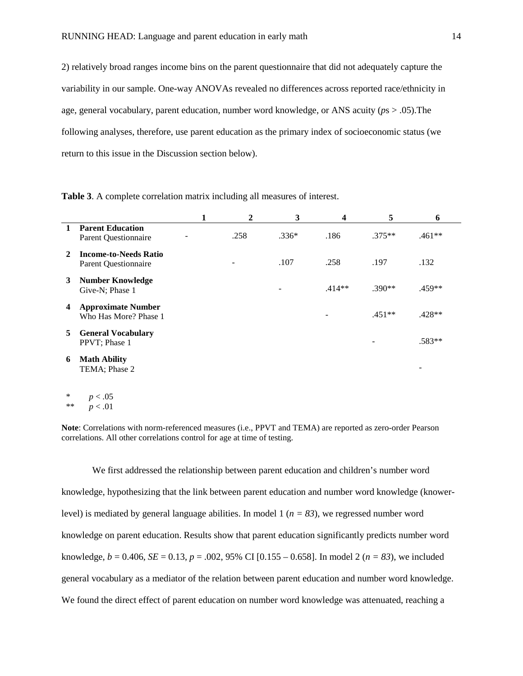2) relatively broad ranges income bins on the parent questionnaire that did not adequately capture the variability in our sample. One-way ANOVAs revealed no differences across reported race/ethnicity in age, general vocabulary, parent education, number word knowledge, or ANS acuity (*p*s > .05).The following analyses, therefore, use parent education as the primary index of socioeconomic status (we return to this issue in the Discussion section below).

|    |                                                             | 1 | 2    | 3       | 4        | 5        | 6        |
|----|-------------------------------------------------------------|---|------|---------|----------|----------|----------|
|    | <b>Parent Education</b><br><b>Parent Questionnaire</b>      |   | .258 | $.336*$ | .186     | $.375**$ | $.461**$ |
| 2  | <b>Income-to-Needs Ratio</b><br><b>Parent Questionnaire</b> |   |      | .107    | .258     | .197     | .132     |
| 3  | <b>Number Knowledge</b><br>Give-N; Phase 1                  |   |      |         | $.414**$ | $.390**$ | .459**   |
| 4  | <b>Approximate Number</b><br>Who Has More? Phase 1          |   |      |         |          | $.451**$ | $.428**$ |
| 5. | <b>General Vocabulary</b><br>PPVT; Phase 1                  |   |      |         |          |          | $.583**$ |
| 6  | <b>Math Ability</b><br>TEMA; Phase 2                        |   |      |         |          |          |          |

**Table 3**. A complete correlation matrix including all measures of interest.

 $p < .05$  $p < .01$ 

**Note**: Correlations with norm-referenced measures (i.e., PPVT and TEMA) are reported as zero-order Pearson correlations. All other correlations control for age at time of testing.

We first addressed the relationship between parent education and children's number word knowledge, hypothesizing that the link between parent education and number word knowledge (knowerlevel) is mediated by general language abilities. In model  $1 (n = 83)$ , we regressed number word knowledge on parent education. Results show that parent education significantly predicts number word knowledge,  $b = 0.406$ ,  $SE = 0.13$ ,  $p = .002$ , 95% CI [0.155 – 0.658]. In model 2 ( $n = 83$ ), we included general vocabulary as a mediator of the relation between parent education and number word knowledge. We found the direct effect of parent education on number word knowledge was attenuated, reaching a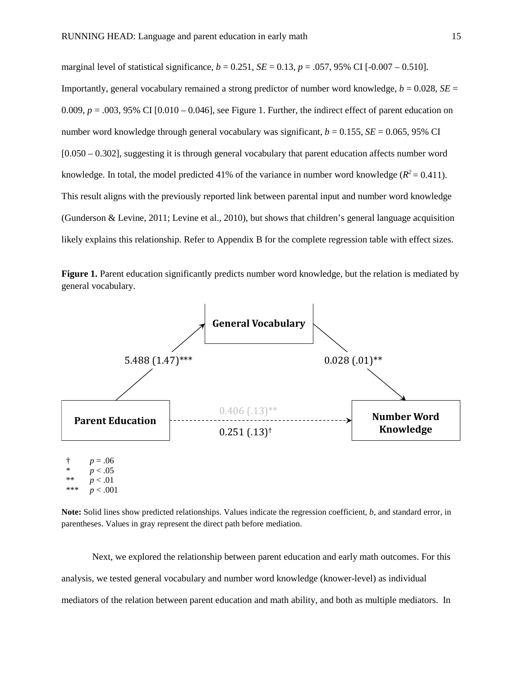marginal level of statistical significance,  $b = 0.251$ ,  $SE = 0.13$ ,  $p = .057$ , 95% CI [-0.007 – 0.510]. Importantly, general vocabulary remained a strong predictor of number word knowledge,  $b = 0.028$ ,  $SE =$  $0.009$ ,  $p = .003$ , 95% CI  $[0.010 - 0.046]$ , see Figure 1. Further, the indirect effect of parent education on number word knowledge through general vocabulary was significant,  $b = 0.155$ ,  $SE = 0.065$ , 95% CI [0.050 – 0.302], suggesting it is through general vocabulary that parent education affects number word knowledge. In total, the model predicted 41% of the variance in number word knowledge ( $R^2 = 0.411$ ). This result aligns with the previously reported link between parental input and number word knowledge (Gunderson & Levine, 2011; Levine et al., 2010), but shows that children's general language acquisition likely explains this relationship. Refer to Appendix B for the complete regression table with effect sizes.

**Figure 1.** Parent education significantly predicts number word knowledge, but the relation is mediated by general vocabulary.



 $p < .001$ 

**Note:** Solid lines show predicted relationships. Values indicate the regression coefficient, *b*, and standard error, in parentheses. Values in gray represent the direct path before mediation.

Next, we explored the relationship between parent education and early math outcomes. For this analysis, we tested general vocabulary and number word knowledge (knower-level) as individual mediators of the relation between parent education and math ability, and both as multiple mediators. In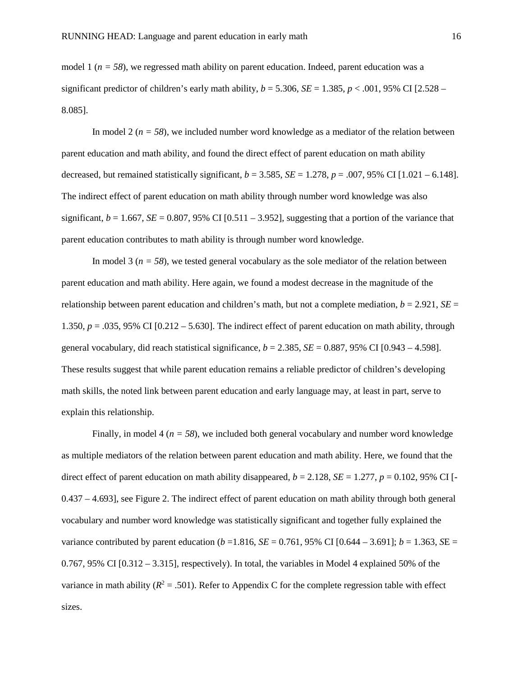model 1 ( $n = 58$ ), we regressed math ability on parent education. Indeed, parent education was a significant predictor of children's early math ability,  $b = 5.306$ ,  $SE = 1.385$ ,  $p < .001$ , 95% CI [2.528 – 8.085].

In model 2 ( $n = 58$ ), we included number word knowledge as a mediator of the relation between parent education and math ability, and found the direct effect of parent education on math ability decreased, but remained statistically significant,  $b = 3.585$ ,  $SE = 1.278$ ,  $p = .007$ , 95% CI [1.021 – 6.148]. The indirect effect of parent education on math ability through number word knowledge was also significant,  $b = 1.667$ ,  $SE = 0.807$ , 95% CI  $[0.511 - 3.952]$ , suggesting that a portion of the variance that parent education contributes to math ability is through number word knowledge.

In model 3 ( $n = 58$ ), we tested general vocabulary as the sole mediator of the relation between parent education and math ability. Here again, we found a modest decrease in the magnitude of the relationship between parent education and children's math, but not a complete mediation,  $b = 2.921$ ,  $SE =$ 1.350,  $p = 0.035$ , 95% CI  $[0.212 - 5.630]$ . The indirect effect of parent education on math ability, through general vocabulary, did reach statistical significance,  $b = 2.385$ ,  $SE = 0.887$ , 95% CI [0.943 – 4.598]. These results suggest that while parent education remains a reliable predictor of children's developing math skills, the noted link between parent education and early language may, at least in part, serve to explain this relationship.

Finally, in model 4 ( $n = 58$ ), we included both general vocabulary and number word knowledge as multiple mediators of the relation between parent education and math ability. Here, we found that the direct effect of parent education on math ability disappeared,  $b = 2.128$ ,  $SE = 1.277$ ,  $p = 0.102$ , 95% CI [-0.437 – 4.693], see Figure 2. The indirect effect of parent education on math ability through both general vocabulary and number word knowledge was statistically significant and together fully explained the variance contributed by parent education ( $b = 1.816$ ,  $SE = 0.761$ , 95% CI [0.644 – 3.691];  $b = 1.363$ ,  $SE = 1.363$ 0.767, 95% CI [0.312 – 3.315], respectively). In total, the variables in Model 4 explained 50% of the variance in math ability  $(R^2 = .501)$ . Refer to Appendix C for the complete regression table with effect sizes.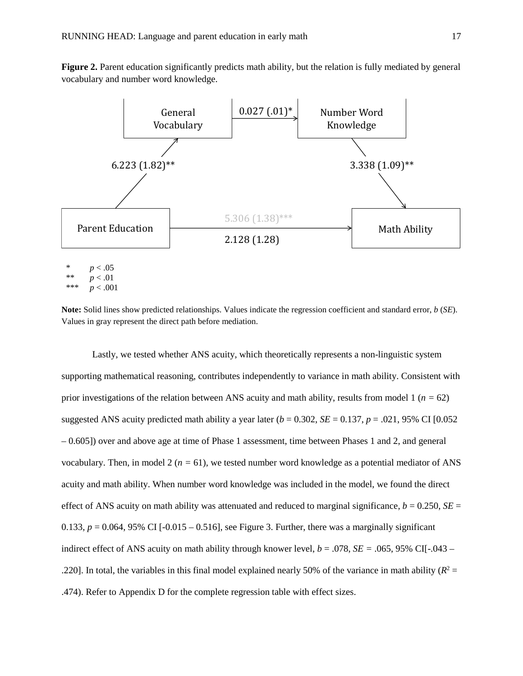**Figure 2.** Parent education significantly predicts math ability, but the relation is fully mediated by general vocabulary and number word knowledge.



\*\*\* *p* < .001

**Note:** Solid lines show predicted relationships. Values indicate the regression coefficient and standard error, *b* (*SE*). Values in gray represent the direct path before mediation.

Lastly, we tested whether ANS acuity, which theoretically represents a non-linguistic system supporting mathematical reasoning, contributes independently to variance in math ability. Consistent with prior investigations of the relation between ANS acuity and math ability, results from model 1 (*n =* 62) suggested ANS acuity predicted math ability a year later  $(b = 0.302, SE = 0.137, p = .021, 95\% \text{ CI } [0.052]$ – 0.605]) over and above age at time of Phase 1 assessment, time between Phases 1 and 2, and general vocabulary. Then, in model  $2 (n = 61)$ , we tested number word knowledge as a potential mediator of ANS acuity and math ability. When number word knowledge was included in the model, we found the direct effect of ANS acuity on math ability was attenuated and reduced to marginal significance,  $b = 0.250$ ,  $SE =$ 0.133,  $p = 0.064$ , 95% CI  $[-0.015 - 0.516]$ , see Figure 3. Further, there was a marginally significant indirect effect of ANS acuity on math ability through knower level,  $b = .078$ ,  $SE = .065$ , 95% CI[-.043 – .220]. In total, the variables in this final model explained nearly 50% of the variance in math ability  $(R^2 =$ .474). Refer to Appendix D for the complete regression table with effect sizes.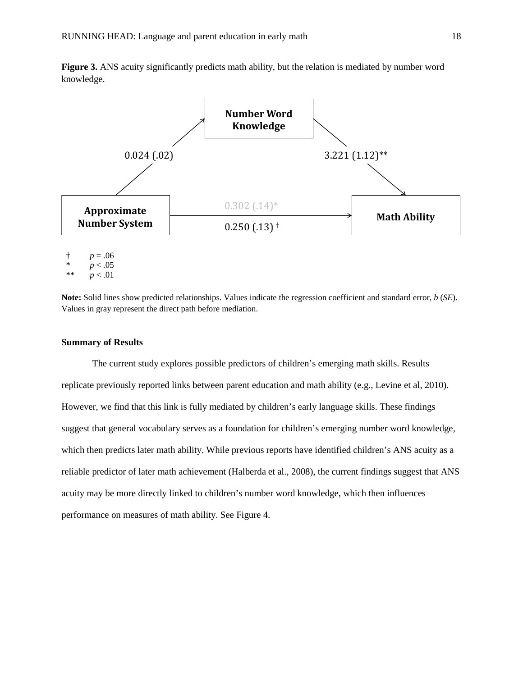**Figure 3.** ANS acuity significantly predicts math ability, but the relation is mediated by number word knowledge.



 $p < .05$ \*\*  $p < .01$ 

**Note:** Solid lines show predicted relationships. Values indicate the regression coefficient and standard error, *b* (*SE*). Values in gray represent the direct path before mediation.

#### **Summary of Results**

The current study explores possible predictors of children's emerging math skills. Results replicate previously reported links between parent education and math ability (e.g., Levine et al, 2010). However, we find that this link is fully mediated by children's early language skills. These findings suggest that general vocabulary serves as a foundation for children's emerging number word knowledge, which then predicts later math ability. While previous reports have identified children's ANS acuity as a reliable predictor of later math achievement (Halberda et al., 2008), the current findings suggest that ANS acuity may be more directly linked to children's number word knowledge, which then influences performance on measures of math ability. See Figure 4.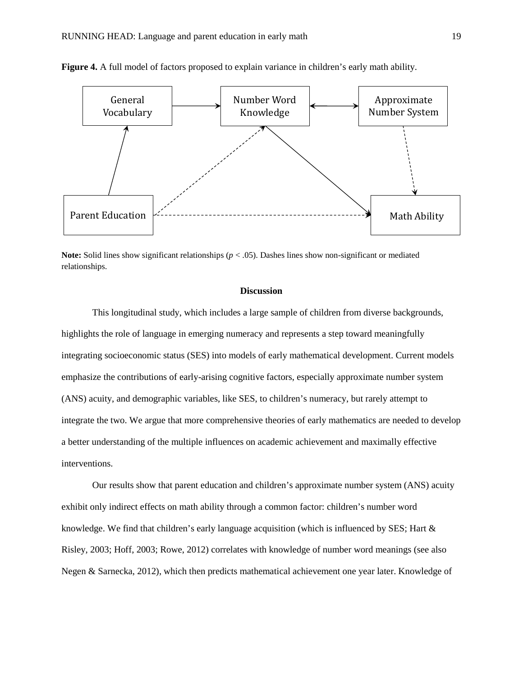

**Figure 4.** A full model of factors proposed to explain variance in children's early math ability.

**Note:** Solid lines show significant relationships ( $p < .05$ ). Dashes lines show non-significant or mediated relationships.

#### **Discussion**

This longitudinal study, which includes a large sample of children from diverse backgrounds, highlights the role of language in emerging numeracy and represents a step toward meaningfully integrating socioeconomic status (SES) into models of early mathematical development. Current models emphasize the contributions of early-arising cognitive factors, especially approximate number system (ANS) acuity, and demographic variables, like SES, to children's numeracy, but rarely attempt to integrate the two. We argue that more comprehensive theories of early mathematics are needed to develop a better understanding of the multiple influences on academic achievement and maximally effective interventions.

Our results show that parent education and children's approximate number system (ANS) acuity exhibit only indirect effects on math ability through a common factor: children's number word knowledge. We find that children's early language acquisition (which is influenced by SES; Hart  $\&$ Risley, 2003; Hoff, 2003; Rowe, 2012) correlates with knowledge of number word meanings (see also Negen & Sarnecka, 2012), which then predicts mathematical achievement one year later. Knowledge of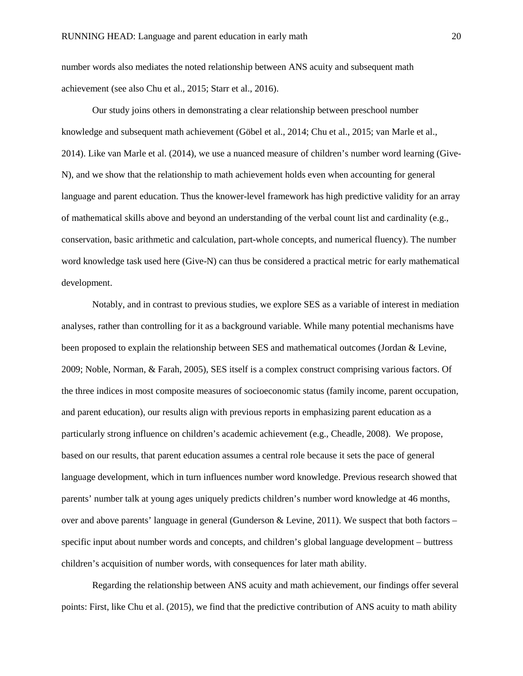number words also mediates the noted relationship between ANS acuity and subsequent math achievement (see also Chu et al., 2015; Starr et al., 2016).

Our study joins others in demonstrating a clear relationship between preschool number knowledge and subsequent math achievement (Göbel et al., 2014; Chu et al., 2015; van Marle et al., 2014). Like van Marle et al. (2014), we use a nuanced measure of children's number word learning (Give-N), and we show that the relationship to math achievement holds even when accounting for general language and parent education. Thus the knower-level framework has high predictive validity for an array of mathematical skills above and beyond an understanding of the verbal count list and cardinality (e.g., conservation, basic arithmetic and calculation, part-whole concepts, and numerical fluency). The number word knowledge task used here (Give-N) can thus be considered a practical metric for early mathematical development.

Notably, and in contrast to previous studies, we explore SES as a variable of interest in mediation analyses, rather than controlling for it as a background variable. While many potential mechanisms have been proposed to explain the relationship between SES and mathematical outcomes (Jordan & Levine, 2009; Noble, Norman, & Farah, 2005), SES itself is a complex construct comprising various factors. Of the three indices in most composite measures of socioeconomic status (family income, parent occupation, and parent education), our results align with previous reports in emphasizing parent education as a particularly strong influence on children's academic achievement (e.g., Cheadle, 2008). We propose, based on our results, that parent education assumes a central role because it sets the pace of general language development, which in turn influences number word knowledge. Previous research showed that parents' number talk at young ages uniquely predicts children's number word knowledge at 46 months, over and above parents' language in general (Gunderson & Levine, 2011). We suspect that both factors – specific input about number words and concepts, and children's global language development – buttress children's acquisition of number words, with consequences for later math ability.

Regarding the relationship between ANS acuity and math achievement, our findings offer several points: First, like Chu et al. (2015), we find that the predictive contribution of ANS acuity to math ability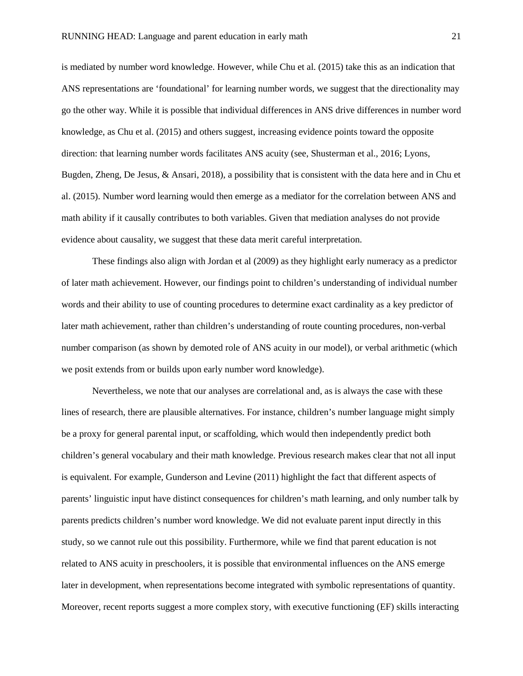is mediated by number word knowledge. However, while Chu et al. (2015) take this as an indication that ANS representations are 'foundational' for learning number words, we suggest that the directionality may go the other way. While it is possible that individual differences in ANS drive differences in number word knowledge, as Chu et al. (2015) and others suggest, increasing evidence points toward the opposite direction: that learning number words facilitates ANS acuity (see, Shusterman et al., 2016; Lyons, Bugden, Zheng, De Jesus, & Ansari, 2018), a possibility that is consistent with the data here and in Chu et al. (2015). Number word learning would then emerge as a mediator for the correlation between ANS and math ability if it causally contributes to both variables. Given that mediation analyses do not provide evidence about causality, we suggest that these data merit careful interpretation.

These findings also align with Jordan et al (2009) as they highlight early numeracy as a predictor of later math achievement. However, our findings point to children's understanding of individual number words and their ability to use of counting procedures to determine exact cardinality as a key predictor of later math achievement, rather than children's understanding of route counting procedures, non-verbal number comparison (as shown by demoted role of ANS acuity in our model), or verbal arithmetic (which we posit extends from or builds upon early number word knowledge).

Nevertheless, we note that our analyses are correlational and, as is always the case with these lines of research, there are plausible alternatives. For instance, children's number language might simply be a proxy for general parental input, or scaffolding, which would then independently predict both children's general vocabulary and their math knowledge. Previous research makes clear that not all input is equivalent. For example, Gunderson and Levine (2011) highlight the fact that different aspects of parents' linguistic input have distinct consequences for children's math learning, and only number talk by parents predicts children's number word knowledge. We did not evaluate parent input directly in this study, so we cannot rule out this possibility. Furthermore, while we find that parent education is not related to ANS acuity in preschoolers, it is possible that environmental influences on the ANS emerge later in development, when representations become integrated with symbolic representations of quantity. Moreover, recent reports suggest a more complex story, with executive functioning (EF) skills interacting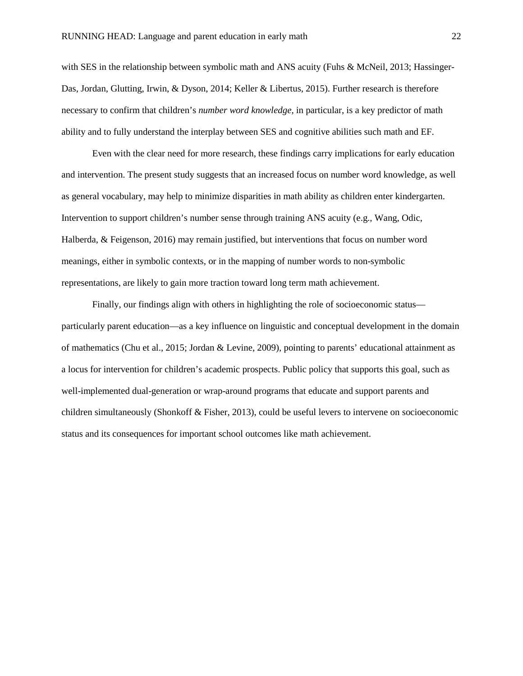with SES in the relationship between symbolic math and ANS acuity (Fuhs & McNeil, 2013; Hassinger-Das, Jordan, Glutting, Irwin, & Dyson, 2014; Keller & Libertus, 2015). Further research is therefore necessary to confirm that children's *number word knowledge*, in particular, is a key predictor of math ability and to fully understand the interplay between SES and cognitive abilities such math and EF.

Even with the clear need for more research, these findings carry implications for early education and intervention. The present study suggests that an increased focus on number word knowledge, as well as general vocabulary, may help to minimize disparities in math ability as children enter kindergarten. Intervention to support children's number sense through training ANS acuity (e.g., Wang, Odic, Halberda, & Feigenson, 2016) may remain justified, but interventions that focus on number word meanings, either in symbolic contexts, or in the mapping of number words to non-symbolic representations, are likely to gain more traction toward long term math achievement.

Finally, our findings align with others in highlighting the role of socioeconomic status particularly parent education—as a key influence on linguistic and conceptual development in the domain of mathematics (Chu et al., 2015; Jordan & Levine, 2009), pointing to parents' educational attainment as a locus for intervention for children's academic prospects. Public policy that supports this goal, such as well-implemented dual-generation or wrap-around programs that educate and support parents and children simultaneously (Shonkoff & Fisher, 2013), could be useful levers to intervene on socioeconomic status and its consequences for important school outcomes like math achievement.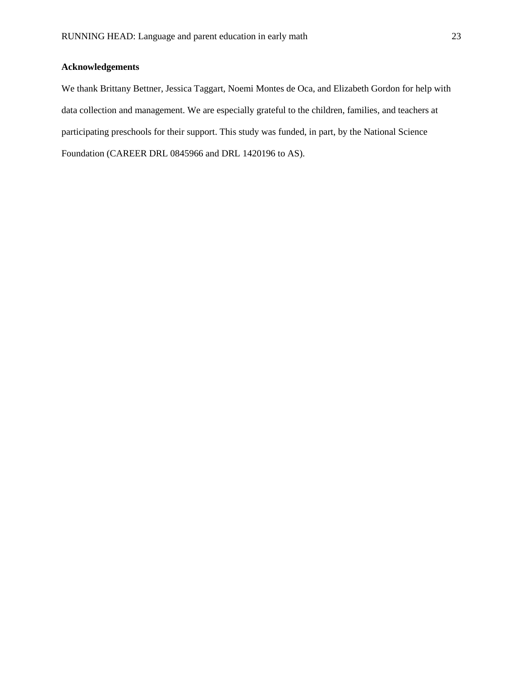## **Acknowledgements**

We thank Brittany Bettner, Jessica Taggart, Noemi Montes de Oca, and Elizabeth Gordon for help with data collection and management. We are especially grateful to the children, families, and teachers at participating preschools for their support. This study was funded, in part, by the National Science Foundation (CAREER DRL 0845966 and DRL 1420196 to AS).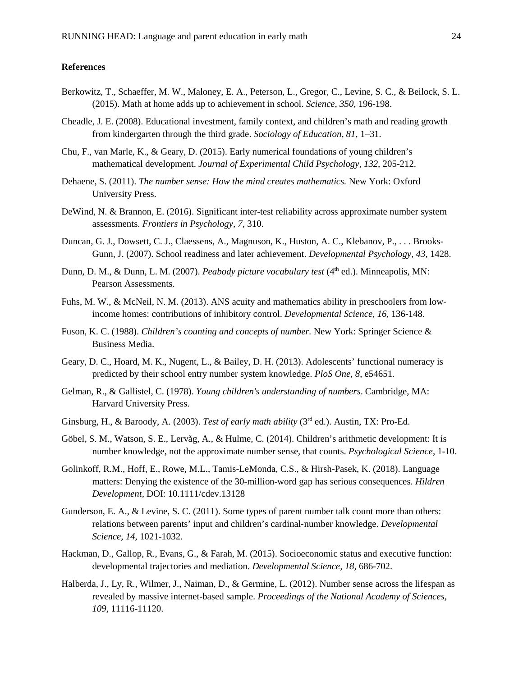#### **References**

- Berkowitz, T., Schaeffer, M. W., Maloney, E. A., Peterson, L., Gregor, C., Levine, S. C., & Beilock, S. L. (2015). Math at home adds up to achievement in school. *Science, 350*, 196-198.
- Cheadle, J. E. (2008). Educational investment, family context, and children's math and reading growth from kindergarten through the third grade. *Sociology of Education, 81,* 1–31.
- Chu, F., van Marle, K., & Geary, D. (2015). Early numerical foundations of young children's mathematical development. *Journal of Experimental Child Psychology, 132,* 205-212.
- Dehaene, S. (2011). *The number sense: How the mind creates mathematics.* New York: Oxford University Press.
- DeWind, N. & Brannon, E. (2016). Significant inter-test reliability across approximate number system assessments. *Frontiers in Psychology, 7,* 310.
- Duncan, G. J., Dowsett, C. J., Claessens, A., Magnuson, K., Huston, A. C., Klebanov, P., . . . Brooks-Gunn, J. (2007). School readiness and later achievement. *Developmental Psychology, 43*, 1428.
- Dunn, D. M., & Dunn, L. M. (2007). *Peabody picture vocabulary test* (4<sup>th</sup> ed.). Minneapolis, MN: Pearson Assessments.
- Fuhs, M. W., & McNeil, N. M. (2013). ANS acuity and mathematics ability in preschoolers from lowincome homes: contributions of inhibitory control. *Developmental Science, 16*, 136-148.
- Fuson, K. C. (1988). *Children's counting and concepts of number.* New York: Springer Science & Business Media.
- Geary, D. C., Hoard, M. K., Nugent, L., & Bailey, D. H. (2013). Adolescents' functional numeracy is predicted by their school entry number system knowledge. *PloS One, 8*, e54651.
- Gelman, R., & Gallistel, C. (1978). *Young children's understanding of numbers*. Cambridge, MA: Harvard University Press.
- Ginsburg, H., & Baroody, A. (2003). *Test of early math ability* (3rd ed.). Austin, TX: Pro-Ed.
- Göbel, S. M., Watson, S. E., Lervåg, A., & Hulme, C. (2014). Children's arithmetic development: It is number knowledge, not the approximate number sense, that counts. *Psychological Science,* 1-10.
- Golinkoff, R.M., Hoff, E., Rowe, M.L., Tamis-LeMonda, C.S., & Hirsh-Pasek, K. (2018). Language matters: Denying the existence of the 30-million-word gap has serious consequences. *Hildren Development,* DOI: 10.1111/cdev.13128
- Gunderson, E. A., & Levine, S. C. (2011). Some types of parent number talk count more than others: relations between parents' input and children's cardinal‐number knowledge. *Developmental Science, 14*, 1021-1032.
- Hackman, D., Gallop, R., Evans, G., & Farah, M. (2015). Socioeconomic status and executive function: developmental trajectories and mediation. *Developmental Science, 18,* 686-702.
- Halberda, J., Ly, R., Wilmer, J., Naiman, D., & Germine, L. (2012). Number sense across the lifespan as revealed by massive internet-based sample. *Proceedings of the National Academy of Sciences, 109,* 11116-11120.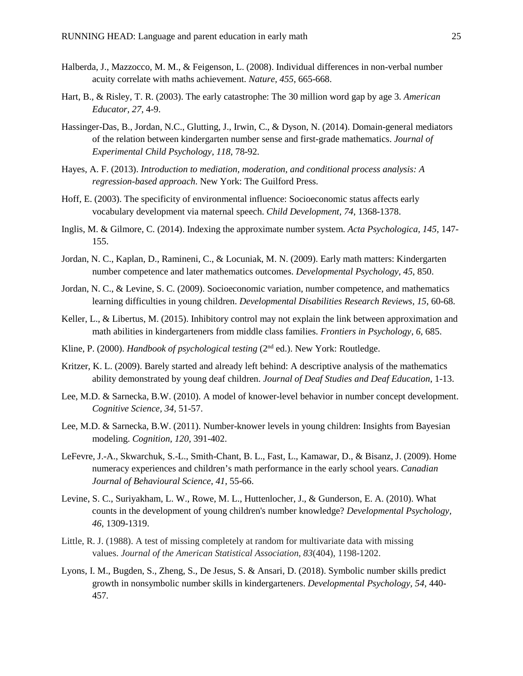- Halberda, J., Mazzocco, M. M., & Feigenson, L. (2008). Individual differences in non-verbal number acuity correlate with maths achievement. *Nature, 455*, 665-668.
- Hart, B., & Risley, T. R. (2003). The early catastrophe: The 30 million word gap by age 3. *American Educator, 27*, 4-9.
- Hassinger-Das, B., Jordan, N.C., Glutting, J., Irwin, C., & Dyson, N. (2014). Domain-general mediators of the relation between kindergarten number sense and first-grade mathematics. *Journal of Experimental Child Psychology, 118,* 78-92.
- Hayes, A. F. (2013). *Introduction to mediation, moderation, and conditional process analysis: A regression-based approach*. New York: The Guilford Press.
- Hoff, E. (2003). The specificity of environmental influence: Socioeconomic status affects early vocabulary development via maternal speech. *Child Development, 74*, 1368-1378.
- Inglis, M. & Gilmore, C. (2014). Indexing the approximate number system. *Acta Psychologica, 145,* 147- 155.
- Jordan, N. C., Kaplan, D., Ramineni, C., & Locuniak, M. N. (2009). Early math matters: Kindergarten number competence and later mathematics outcomes. *Developmental Psychology, 45*, 850.
- Jordan, N. C., & Levine, S. C. (2009). Socioeconomic variation, number competence, and mathematics learning difficulties in young children. *Developmental Disabilities Research Reviews, 15*, 60-68.
- Keller, L., & Libertus, M. (2015). Inhibitory control may not explain the link between approximation and math abilities in kindergarteners from middle class families. *Frontiers in Psychology, 6,* 685.
- Kline, P. (2000). *Handbook of psychological testing* (2<sup>nd</sup> ed.). New York: Routledge.
- Kritzer, K. L. (2009). Barely started and already left behind: A descriptive analysis of the mathematics ability demonstrated by young deaf children. *Journal of Deaf Studies and Deaf Education*, 1-13.
- Lee, M.D. & Sarnecka, B.W. (2010). A model of knower-level behavior in number concept development. *Cognitive Science, 34,* 51-57.
- Lee, M.D. & Sarnecka, B.W. (2011). Number-knower levels in young children: Insights from Bayesian modeling. *Cognition, 120,* 391-402.
- LeFevre, J.-A., Skwarchuk, S.-L., Smith-Chant, B. L., Fast, L., Kamawar, D., & Bisanz, J. (2009). Home numeracy experiences and children's math performance in the early school years. *Canadian Journal of Behavioural Science*, *41*, 55-66.
- Levine, S. C., Suriyakham, L. W., Rowe, M. L., Huttenlocher, J., & Gunderson, E. A. (2010). What counts in the development of young children's number knowledge? *Developmental Psychology, 46*, 1309-1319.
- Little, R. J. (1988). A test of missing completely at random for multivariate data with missing values. *Journal of the American Statistical Association*, *83*(404), 1198-1202.
- Lyons, I. M., Bugden, S., Zheng, S., De Jesus, S. & Ansari, D. (2018). Symbolic number skills predict growth in nonsymbolic number skills in kindergarteners. *Developmental Psychology, 54,* 440- 457*.*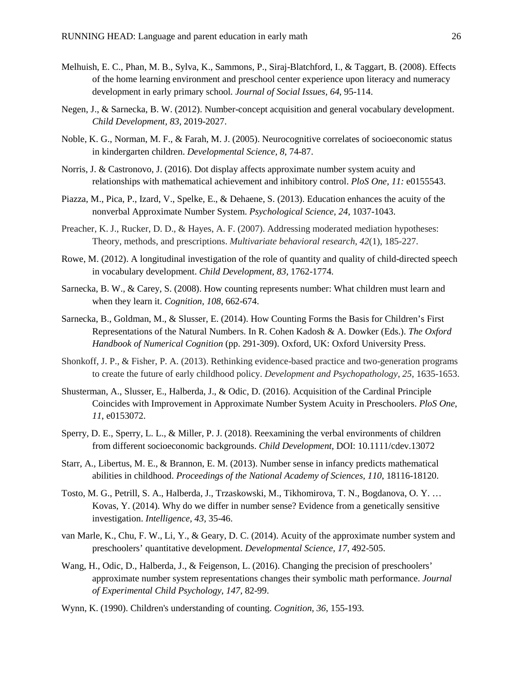- Melhuish, E. C., Phan, M. B., Sylva, K., Sammons, P., Siraj-Blatchford, I., & Taggart, B. (2008). Effects of the home learning environment and preschool center experience upon literacy and numeracy development in early primary school*. Journal of Social Issues, 64*, 95-114.
- Negen, J., & Sarnecka, B. W. (2012). Number-concept acquisition and general vocabulary development. *Child Development, 83*, 2019-2027.
- Noble, K. G., Norman, M. F., & Farah, M. J. (2005). Neurocognitive correlates of socioeconomic status in kindergarten children. *Developmental Science, 8*, 74-87.
- Norris, J. & Castronovo, J. (2016). Dot display affects approximate number system acuity and relationships with mathematical achievement and inhibitory control. *PloS One, 11:* e0155543.
- Piazza, M., Pica, P., Izard, V., Spelke, E., & Dehaene, S. (2013). Education enhances the acuity of the nonverbal Approximate Number System. *Psychological Science, 24,* 1037-1043.
- Preacher, K. J., Rucker, D. D., & Hayes, A. F. (2007). Addressing moderated mediation hypotheses: Theory, methods, and prescriptions. *Multivariate behavioral research*, *42*(1), 185-227.
- Rowe, M. (2012). A longitudinal investigation of the role of quantity and quality of child-directed speech in vocabulary development. *Child Development, 83,* 1762-1774.
- Sarnecka, B. W., & Carey, S. (2008). How counting represents number: What children must learn and when they learn it. *Cognition, 108*, 662-674.
- Sarnecka, B., Goldman, M., & Slusser, E. (2014). How Counting Forms the Basis for Children's First Representations of the Natural Numbers. In R. Cohen Kadosh & A. Dowker (Eds.). *The Oxford Handbook of Numerical Cognition* (pp. 291-309). Oxford, UK: Oxford University Press.
- Shonkoff, J. P., & Fisher, P. A. (2013). Rethinking evidence-based practice and two-generation programs to create the future of early childhood policy. *Development and Psychopathology*, *25*, 1635-1653.
- Shusterman, A., Slusser, E., Halberda, J., & Odic, D. (2016). Acquisition of the Cardinal Principle Coincides with Improvement in Approximate Number System Acuity in Preschoolers. *PloS One*, *11*, e0153072.
- Sperry, D. E., Sperry, L. L., & Miller, P. J. (2018). Reexamining the verbal environments of children from different socioeconomic backgrounds. *Child Development,* DOI: 10.1111/cdev.13072
- Starr, A., Libertus, M. E., & Brannon, E. M. (2013). Number sense in infancy predicts mathematical abilities in childhood. *Proceedings of the National Academy of Sciences, 110*, 18116-18120.
- Tosto, M. G., Petrill, S. A., Halberda, J., Trzaskowski, M., Tikhomirova, T. N., Bogdanova, O. Y. … Kovas, Y. (2014). Why do we differ in number sense? Evidence from a genetically sensitive investigation. *Intelligence, 43,* 35-46.
- van Marle, K., Chu, F. W., Li, Y., & Geary, D. C. (2014). Acuity of the approximate number system and preschoolers' quantitative development. *Developmental Science, 17*, 492-505.
- Wang, H., Odic, D., Halberda, J., & Feigenson, L. (2016). Changing the precision of preschoolers' approximate number system representations changes their symbolic math performance. *Journal of Experimental Child Psychology, 147,* 82-99.
- Wynn, K. (1990). Children's understanding of counting. *Cognition, 36*, 155-193.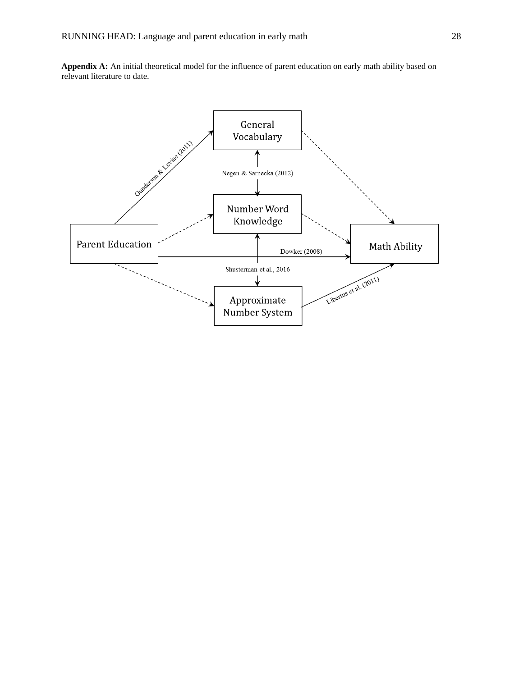**Appendix A:** An initial theoretical model for the influence of parent education on early math ability based on relevant literature to date.

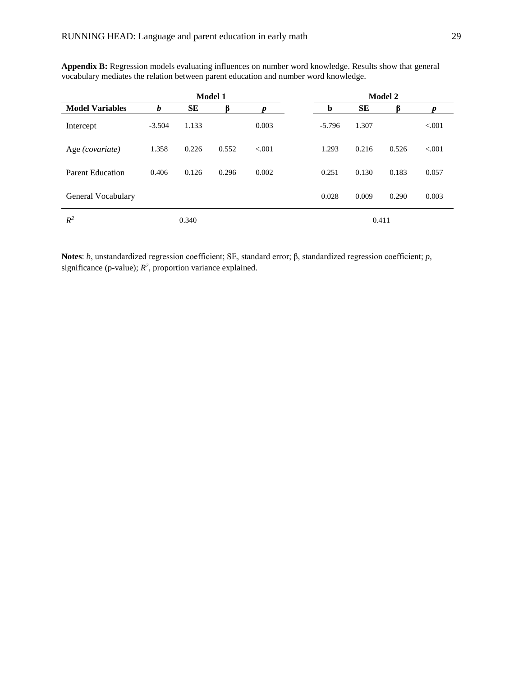|                         | <b>Model 1</b> |       |       |         |  | <b>Model 2</b> |       |       |         |  |  |  |
|-------------------------|----------------|-------|-------|---------|--|----------------|-------|-------|---------|--|--|--|
| <b>Model Variables</b>  | b              | SЕ    | ß     |         |  | b              | SЕ    | ß     |         |  |  |  |
| Intercept               | $-3.504$       | 1.133 |       | 0.003   |  | $-5.796$       | 1.307 |       | < 0.001 |  |  |  |
| Age (covariate)         | 1.358          | 0.226 | 0.552 | < 0.001 |  | 1.293          | 0.216 | 0.526 | < 0.001 |  |  |  |
| <b>Parent Education</b> | 0.406          | 0.126 | 0.296 | 0.002   |  | 0.251          | 0.130 | 0.183 | 0.057   |  |  |  |
| General Vocabulary      |                |       |       |         |  | 0.028          | 0.009 | 0.290 | 0.003   |  |  |  |
| $R^2$                   |                | 0.340 |       |         |  |                | 0.411 |       |         |  |  |  |

**Appendix B:** Regression models evaluating influences on number word knowledge. Results show that general vocabulary mediates the relation between parent education and number word knowledge.

**Notes**: *b*, unstandardized regression coefficient; SE, standard error; β, standardized regression coefficient; *p*, significance (p-value);  $R^2$ , proportion variance explained.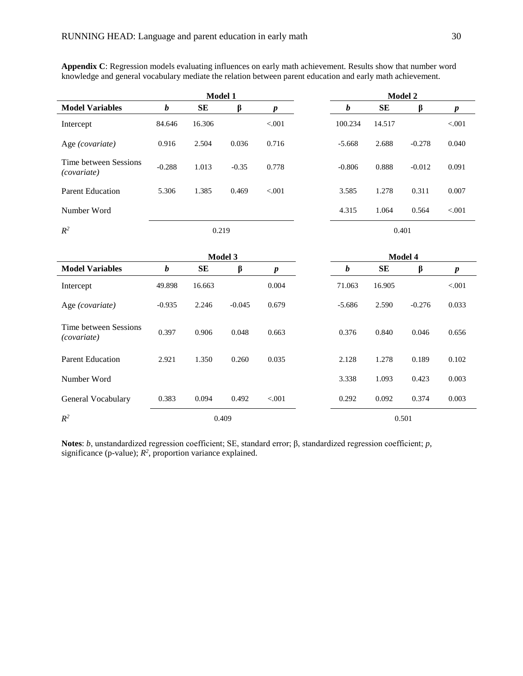|                                      |                  | Model 1 |          |                  |  |                  |         | Model 2  |  |  |  |
|--------------------------------------|------------------|---------|----------|------------------|--|------------------|---------|----------|--|--|--|
| <b>Model Variables</b>               | b                | SE      | $\beta$  | $\boldsymbol{p}$ |  | $\boldsymbol{b}$ | SE      | $\beta$  |  |  |  |
| Intercept                            | 84.646           | 16.306  |          | < .001           |  | 100.234          | 14.517  |          |  |  |  |
| Age (covariate)                      | 0.916            | 2.504   | 0.036    | 0.716            |  | $-5.668$         | 2.688   | $-0.278$ |  |  |  |
| Time between Sessions<br>(covariate) | $-0.288$         | 1.013   | $-0.35$  | 0.778            |  | $-0.806$         | 0.888   | $-0.012$ |  |  |  |
| <b>Parent Education</b>              | 5.306            | 1.385   | 0.469    | < 0.001          |  | 3.585            | 1.278   | 0.311    |  |  |  |
| Number Word                          |                  |         |          |                  |  | 4.315            | 1.064   | 0.564    |  |  |  |
| $R^2$                                | 0.219            |         |          |                  |  |                  |         | 0.401    |  |  |  |
|                                      |                  | Model 3 |          |                  |  |                  | Model 4 |          |  |  |  |
| <b>Model Variables</b>               | $\boldsymbol{b}$ | SE      | β        | $\boldsymbol{p}$ |  | $\boldsymbol{b}$ | SE      | β        |  |  |  |
| Intercept                            | 49.898           | 16.663  |          | 0.004            |  | 71.063           | 16.905  |          |  |  |  |
| Age (covariate)                      | $-0.935$         | 2.246   | $-0.045$ | 0.679            |  | $-5.686$         | 2.590   | $-0.276$ |  |  |  |
| Time between Sessions<br>(covariate) | 0.397            | 0.906   | 0.048    | 0.663            |  | 0.376            | 0.840   | 0.046    |  |  |  |
| <b>Parent Education</b>              | 2.921            | 1.350   | 0.260    | 0.035            |  | 2.128            | 1.278   | 0.189    |  |  |  |
| Number Word                          |                  |         |          |                  |  | 3.338            | 1.093   | 0.423    |  |  |  |
| General Vocabulary                   | 0.383            | 0.094   | 0.492    | $< 001$          |  | 0.292            | 0.092   | 0.374    |  |  |  |
| $R^2$                                |                  |         | 0.409    |                  |  |                  |         | 0.501    |  |  |  |

**Appendix C**: Regression models evaluating influences on early math achievement. Results show that number word knowledge and general vocabulary mediate the relation between parent education and early math achievement.

**Notes**: *b*, unstandardized regression coefficient; SE, standard error; β, standardized regression coefficient; *p*, significance (p-value);  $R^2$ , proportion variance explained.